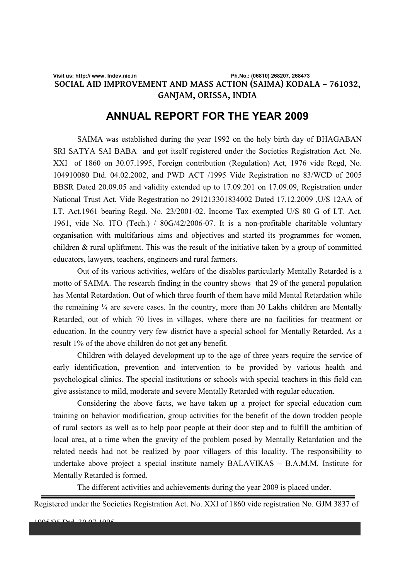## **Visit us: http:// www. Indev.nic.in Ph.No.: (06810) 268207, 268473 SOCIAL AID IMPROVEMENT AND MASS ACTION (SAIMA) KODALA – 761032, GANJAM, ORISSA, INDIA**

# **ANNUAL REPORT FOR THE YEAR 2009**

 SAIMA was established during the year 1992 on the holy birth day of BHAGABAN SRI SATYA SAI BABA and got itself registered under the Societies Registration Act. No. XXI of 1860 on 30.07.1995, Foreign contribution (Regulation) Act, 1976 vide Regd, No. 104910080 Dtd. 04.02.2002, and PWD ACT /1995 Vide Registration no 83/WCD of 2005 BBSR Dated 20.09.05 and validity extended up to 17.09.201 on 17.09.09, Registration under National Trust Act. Vide Regestration no 291213301834002 Dated 17.12.2009 ,U/S 12AA of I.T. Act.1961 bearing Regd. No. 23/2001-02. Income Tax exempted U/S 80 G of I.T. Act. 1961, vide No. ITO (Tech.) / 80G/42/2006-07. It is a non-profitable charitable voluntary organisation with multifarious aims and objectives and started its programmes for women, children & rural upliftment. This was the result of the initiative taken by a group of committed educators, lawyers, teachers, engineers and rural farmers.

 Out of its various activities, welfare of the disables particularly Mentally Retarded is a motto of SAIMA. The research finding in the country shows that 29 of the general population has Mental Retardation. Out of which three fourth of them have mild Mental Retardation while the remaining  $\frac{1}{4}$  are severe cases. In the country, more than 30 Lakhs children are Mentally Retarded, out of which 70 lives in villages, where there are no facilities for treatment or education. In the country very few district have a special school for Mentally Retarded. As a result 1% of the above children do not get any benefit.

 Children with delayed development up to the age of three years require the service of early identification, prevention and intervention to be provided by various health and psychological clinics. The special institutions or schools with special teachers in this field can give assistance to mild, moderate and severe Mentally Retarded with regular education.

 Considering the above facts, we have taken up a project for special education cum training on behavior modification, group activities for the benefit of the down trodden people of rural sectors as well as to help poor people at their door step and to fulfill the ambition of local area, at a time when the gravity of the problem posed by Mentally Retardation and the related needs had not be realized by poor villagers of this locality. The responsibility to undertake above project a special institute namely BALAVIKAS – B.A.M.M. Institute for Mentally Retarded is formed.

The different activities and achievements during the year 2009 is placed under.

Registered under the Societies Registration Act. No. XXI of 1860 vide registration No. GJM 3837 of

**Exemption of Income Tax U/S 80 G of I.T. Act. 1961, vide No. ITO (Tech.) / 80G/42/2006-07/5304-307 DTD08.12.2006**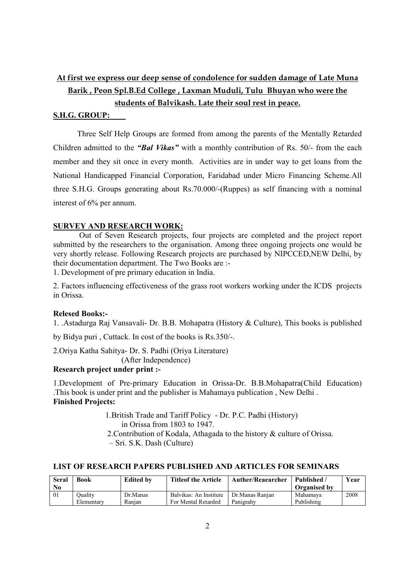# **At first we express our deep sense of condolence for sudden damage of Late Muna Barik , Peon Spl.B.Ed College , Laxman Muduli, Tulu Bhuyan who were the students of Balvikash. Late their soul rest in peace.**

#### **S.H.G. GROUP:**

Three Self Help Groups are formed from among the parents of the Mentally Retarded Children admitted to the *"Bal Vikas"* with a monthly contribution of Rs. 50/- from the each member and they sit once in every month. Activities are in under way to get loans from the National Handicapped Financial Corporation, Faridabad under Micro Financing Scheme.All three S.H.G. Groups generating about Rs.70.000/-(Ruppes) as self financing with a nominal interest of 6% per annum.

### **SURVEY AND RESEARCH WORK:**

Out of Seven Research projects, four projects are completed and the project report submitted by the researchers to the organisation. Among three ongoing projects one would be very shortly release. Following Research projects are purchased by NIPCCED,NEW Delhi, by their documentation department. The Two Books are :-

1. Development of pre primary education in India.

2. Factors influencing effectiveness of the grass root workers working under the ICDS projects in Orissa.

### **Relesed Books:-**

1. .Astadurga Raj Vansavali- Dr. B.B. Mohapatra (History & Culture), This books is published

by Bidya puri , Cuttack. In cost of the books is Rs.350/-.

2.Oriya Katha Sahitya- Dr. S. Padhi (Oriya Literature)

(After Independence)

## **Research project under print :-**

1.Development of Pre-primary Education in Orissa-Dr. B.B.Mohapatra(Child Education) .This book is under print and the publisher is Mahamaya publication , New Delhi . **Finished Projects:**

> 1.British Trade and Tariff Policy - Dr. P.C. Padhi (History) in Orissa from 1803 to 1947. 2.Contribution of Kodala, Athagada to the history & culture of Orissa. – Sri. S.K. Dash (Culture)

## **LIST OF RESEARCH PAPERS PUBLISHED AND ARTICLES FOR SEMINARS**

| <b>Seral</b><br>$\bf No$ | Book           | <b>Edited by</b> | <b>Titleof the Article</b> | <b>Auther/Reaearcher</b> | <b>Published</b><br><b>Organised by</b> | <b>Year</b> |
|--------------------------|----------------|------------------|----------------------------|--------------------------|-----------------------------------------|-------------|
| 01                       | <b>Duality</b> | Dr.Manas         | Balvikas: An Institute     | Dr.Manas Ranian          | Mahamaya                                | 2008        |
|                          | Elementary     | Ranian           | For Mental Retarded        | Panigrahy                | Publishing                              |             |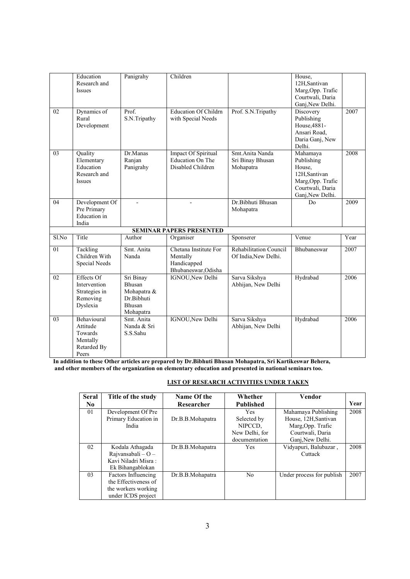|       | Education<br>Research and<br>Issues                                    | Panigrahy                                                               | Children                                                                |                                                       | House,<br>12H,Santivan<br>Marg, Opp. Trafic<br>Courtwali, Daria<br>Ganj, New Delhi.                           |      |
|-------|------------------------------------------------------------------------|-------------------------------------------------------------------------|-------------------------------------------------------------------------|-------------------------------------------------------|---------------------------------------------------------------------------------------------------------------|------|
| 02    | Dynamics of<br>Rural<br>Development                                    | Prof.<br>S.N.Tripathy                                                   | <b>Education Of Childrn</b><br>with Special Needs                       | Prof. S.N.Tripathy                                    | Discovery<br>Publishing<br>House, 4881-<br>Ansari Road,<br>Daria Ganj, New<br>Delhi.                          | 2007 |
| 03    | Quality<br>Elementary<br>Education<br>Research and<br>Issues           | Dr.Manas<br>Ranjan<br>Panigrahy                                         | Impact Of Spiritual<br><b>Education On The</b><br>Disabled Children     | Smt. Anita Nanda<br>Sri Binay Bhusan<br>Mohapatra     | Mahamaya<br>Publishing<br>House,<br>12H,Santivan<br>Marg, Opp. Trafic<br>Courtwali, Daria<br>Ganj, New Delhi. | 2008 |
| 04    | Development Of<br>Pre Primary<br><b>Education</b> in<br>India          |                                                                         | $\overline{a}$                                                          | Dr. Bibhuti Bhusan<br>Mohapatra                       | D <sub>0</sub>                                                                                                | 2009 |
|       |                                                                        |                                                                         | <b>SEMINAR PAPERS PRESENTED</b>                                         |                                                       |                                                                                                               |      |
| Sl.No | Title                                                                  | Author                                                                  | Organiser                                                               | Sponserer                                             | $\overline{V}$ enue                                                                                           | Year |
| 01    | Tackling<br>Children With<br>Special Needs                             | Smt. Anita<br>Nanda                                                     | Chetana Institute For<br>Mentally<br>Handicapped<br>Bhubaneswar, Odisha | <b>Rehabilitation Council</b><br>Of India, New Delhi. | <b>Bhubaneswar</b>                                                                                            | 2007 |
| 02    | Effects Of<br>Intervention<br>Strategies in<br>Removing<br>Dyslexia    | Sri Binay<br>Bhusan<br>Mohapatra &<br>Dr.Bibhuti<br>Bhusan<br>Mohapatra | IGNOU, New Delhi                                                        | Sarva Sikshya<br>Abhijan, New Delhi                   | Hydrabad                                                                                                      | 2006 |
| 03    | Behavioural<br>Attitude<br>Towards<br>Mentally<br>Retarded By<br>Peers | Smt. Anita<br>Nanda & Sri<br>S.S.Sahu                                   | IGNOU, New Delhi                                                        | Sarva Sikshya<br>Abhijan, New Delhi                   | Hydrabad                                                                                                      | 2006 |

**In addition to these Other articles are prepared by Dr.Bibhuti Bhusan Mohapatra, Sri Kartikeswar Behera, and other members of the organization on elementary education and presented in national seminars too.**

#### **LIST OF RESEARCH ACTIVITIES UNDER TAKEN**

| <b>Seral</b>   | Title of the study     | Name Of the      | Whether          | Vendor                    |      |
|----------------|------------------------|------------------|------------------|---------------------------|------|
| N <sub>0</sub> |                        | Researcher       | <b>Published</b> |                           | Year |
| 01             | Development Of Pre     |                  | <b>Yes</b>       | Mahamaya Publishing       | 2008 |
|                | Primary Education in   | Dr.B.B.Mohapatra | Selected by      | House, 12H, Santivan      |      |
|                | India                  |                  | NIPCCD.          | Marg, Opp. Trafic         |      |
|                |                        |                  | New Delhi, for   | Courtwali, Daria          |      |
|                |                        |                  | documentation    | Ganj, New Delhi.          |      |
| 02             | Kodala Athagada        | Dr.B.B.Mohapatra | Yes              | Vidyapuri, Balubazar,     | 2008 |
|                | Rajvansabali $-$ O $-$ |                  |                  | Cuttack                   |      |
|                | Kavi Niladri Misra:    |                  |                  |                           |      |
|                | Ek Bihangablokan       |                  |                  |                           |      |
| 03             | Factors Influencing    | Dr.B.B.Mohapatra | No               | Under process for publish | 2007 |
|                | the Effectiveness of   |                  |                  |                           |      |
|                | the workers working    |                  |                  |                           |      |
|                | under ICDS project     |                  |                  |                           |      |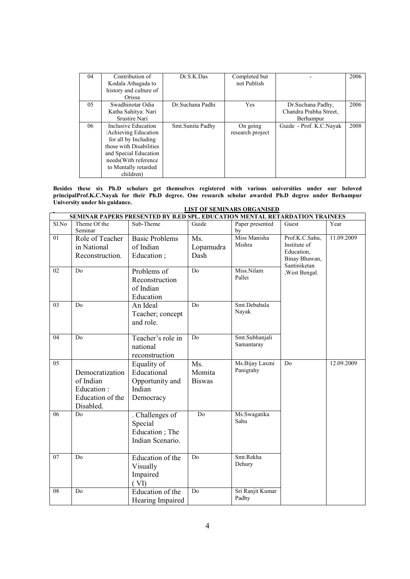| 04 | Contribution of<br>Kodala Athagada to<br>history and culture of<br>Orissa                                                                                                              | Dr.S.K.Das       | Completed but<br>not Publish |                                                          | 2006 |
|----|----------------------------------------------------------------------------------------------------------------------------------------------------------------------------------------|------------------|------------------------------|----------------------------------------------------------|------|
| 05 | Swadhinotar Odia<br>Katha Sahitya: Nari<br>Srustire Nari                                                                                                                               | Dr.Suchana Padhi | Yes                          | Dr.Suchana Padhy,<br>Chandra Prabha Street.<br>Berhampur | 2006 |
| 06 | Inclusive Education<br>: Achieving Education<br>for all by Including<br>those with Disabilities<br>and Special Education<br>needs (With reference<br>to Mentally retarded<br>children) | Smt.Sunita Padhy | On going<br>research project | Guide - Prof. K.C.Navak                                  | 2008 |

**Besides these six Ph.D scholars get themselves registered with various universities under our beloved principalProf.K.C.Nayak for their Ph.D degree. One research scholar awarded Ph.D degree under Berhampur University under his guidance. LIST OF SEMINARS ORGANISED**

|                | LIST OF SEMINAKS OKGANISED<br>SEMINAR PAPERS PRESENTED BY B.ED SPL. EDUCATION MENTAL RETARDATION TRAINEES |                       |                |                  |                               |            |  |  |  |  |
|----------------|-----------------------------------------------------------------------------------------------------------|-----------------------|----------------|------------------|-------------------------------|------------|--|--|--|--|
| Sl.No          | Theme Of the                                                                                              | Sub-Theme             | Guide          | Paper presented  | Guest                         | Year       |  |  |  |  |
|                | Seminar                                                                                                   |                       |                | by               |                               |            |  |  |  |  |
| 01             | Role of Teacher                                                                                           | <b>Basic Problems</b> | Ms.            | Miss Manisha     | Prof.K.C.Sahu,                | 11.09.2009 |  |  |  |  |
|                | in National                                                                                               | of Indian             | Lopamudra      | Mishra           | Institute of                  |            |  |  |  |  |
|                | Reconstruction.                                                                                           | Education;            | Dash           |                  | Education,                    |            |  |  |  |  |
|                |                                                                                                           |                       |                |                  | Binay Bhawan,<br>Santiniketan |            |  |  |  |  |
| 02             | Do                                                                                                        | Problems of           | Do             | Miss.Nilam       | , West Bengal.                |            |  |  |  |  |
|                |                                                                                                           | Reconstruction        |                | Pallei           |                               |            |  |  |  |  |
|                |                                                                                                           | of Indian             |                |                  |                               |            |  |  |  |  |
|                |                                                                                                           | Education             |                |                  |                               |            |  |  |  |  |
| 03             | D <sub>0</sub>                                                                                            | An Ideal              | Do             | Smt.Debabala     |                               |            |  |  |  |  |
|                |                                                                                                           | Teacher; concept      |                | Nayak            |                               |            |  |  |  |  |
|                |                                                                                                           | and role.             |                |                  |                               |            |  |  |  |  |
|                |                                                                                                           |                       |                |                  |                               |            |  |  |  |  |
| 04             | D <sub>0</sub>                                                                                            | Teacher's role in     | Do             | Smt.Subhanjali   |                               |            |  |  |  |  |
|                |                                                                                                           | national              |                | Samantaray       |                               |            |  |  |  |  |
|                |                                                                                                           | reconstruction        |                |                  |                               |            |  |  |  |  |
| 0 <sub>5</sub> |                                                                                                           | Equality of           | Ms.            | Ms.Bijay Laxmi   | D <sub>0</sub>                | 12.09.2009 |  |  |  |  |
|                | Democratization                                                                                           | Educational           | Momita         | Panigrahy        |                               |            |  |  |  |  |
|                | of Indian                                                                                                 | Opportunity and       | <b>Biswas</b>  |                  |                               |            |  |  |  |  |
|                | Education:                                                                                                | Indian                |                |                  |                               |            |  |  |  |  |
|                | Education of the                                                                                          | Democracy             |                |                  |                               |            |  |  |  |  |
|                | Disabled.                                                                                                 |                       |                |                  |                               |            |  |  |  |  |
| 06             | Do                                                                                                        | . Challenges of       | D <sub>0</sub> | Ms.Swagatika     |                               |            |  |  |  |  |
|                |                                                                                                           | Special               |                | Sahu             |                               |            |  |  |  |  |
|                |                                                                                                           | Education; The        |                |                  |                               |            |  |  |  |  |
|                |                                                                                                           | Indian Scenario.      |                |                  |                               |            |  |  |  |  |
|                |                                                                                                           |                       |                |                  |                               |            |  |  |  |  |
| 07             | Do                                                                                                        | Education of the      | Do             | Smt.Rekha        |                               |            |  |  |  |  |
|                |                                                                                                           | Visually              |                | Dehury           |                               |            |  |  |  |  |
|                |                                                                                                           | Impaired              |                |                  |                               |            |  |  |  |  |
|                |                                                                                                           | (VI)                  |                |                  |                               |            |  |  |  |  |
| 08             | D <sub>o</sub>                                                                                            | Education of the      | Do             | Sri Ranjit Kumar |                               |            |  |  |  |  |
|                |                                                                                                           | Hearing Impaired      |                | Padhy            |                               |            |  |  |  |  |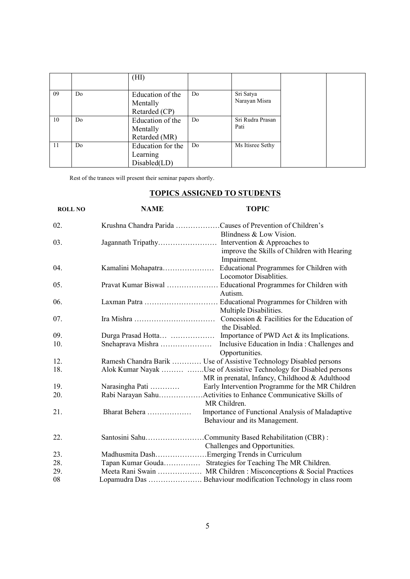|    |    | (HI)              |    |                  |  |
|----|----|-------------------|----|------------------|--|
|    |    |                   |    |                  |  |
| 09 | Do | Education of the  | Do | Sri Satya        |  |
|    |    | Mentally          |    | Narayan Misra    |  |
|    |    | Retarded (CP)     |    |                  |  |
| 10 | Do | Education of the  | Do | Sri Rudra Prasan |  |
|    |    | Mentally          |    | Pati             |  |
|    |    | Retarded (MR)     |    |                  |  |
| 11 | Do | Education for the | Do | Ms Itisree Sethy |  |
|    |    | Learning          |    |                  |  |
|    |    | Disabled(LD)      |    |                  |  |

Rest of the tranees will present their seminar papers shortly.

## **TOPICS ASSIGNED TO STUDENTS**

| <b>ROLL NO</b> | <b>NAME</b>        | <b>TOPIC</b>                                                                                                         |
|----------------|--------------------|----------------------------------------------------------------------------------------------------------------------|
| 02.            |                    | Krushna Chandra Parida Causes of Prevention of Children's                                                            |
| 03.            |                    | Blindness & Low Vision.                                                                                              |
|                |                    | improve the Skills of Children with Hearing<br>Impairment.                                                           |
| 04.            | Kamalini Mohapatra | Educational Programmes for Children with                                                                             |
|                |                    | Locomotor Disablities.                                                                                               |
| 05.            |                    |                                                                                                                      |
|                |                    | Autism.                                                                                                              |
| 06.            |                    |                                                                                                                      |
|                |                    | Multiple Disabilities.                                                                                               |
| 07.            |                    |                                                                                                                      |
|                |                    | the Disabled.                                                                                                        |
| 09.            |                    |                                                                                                                      |
| 10.            | Snehaprava Mishra  | Inclusive Education in India: Challenges and                                                                         |
|                |                    | Opportunities.                                                                                                       |
| 12.            |                    | Ramesh Chandra Barik  Use of Assistive Technology Disabled persons                                                   |
| 18.            |                    | Alok Kumar Nayak  Use of Assistive Technology for Disabled persons<br>MR in prenatal, Infancy, Childhood & Adulthood |
| 19.            |                    | Early Intervention Programme for the MR Children                                                                     |
| 20.            |                    |                                                                                                                      |
|                |                    | MR Children.                                                                                                         |
| 21.            | Bharat Behera      | Importance of Functional Analysis of Maladaptive                                                                     |
|                |                    | Behaviour and its Management.                                                                                        |
| 22.            |                    | Santosini SahuCommunity Based Rehabilitation (CBR):                                                                  |
|                |                    | Challenges and Opportunities.                                                                                        |
| 23.            |                    | Madhusmita DashEmerging Trends in Curriculum                                                                         |
| 28.            |                    | Tapan Kumar Gouda Strategies for Teaching The MR Children.                                                           |
| 29.            |                    | Meeta Rani Swain  MR Children : Misconceptions & Social Practices                                                    |
| 08             |                    | Lopamudra Das  Behaviour modification Technology in class room                                                       |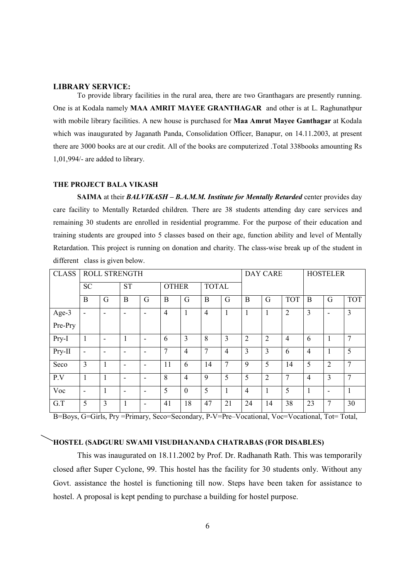#### **LIBRARY SERVICE:**

 To provide library facilities in the rural area, there are two Granthagars are presently running. One is at Kodala namely **MAA AMRIT MAYEE GRANTHAGAR** and other is at L. Raghunathpur with mobile library facilities. A new house is purchased for **Maa Amrut Mayee Ganthagar** at Kodala which was inaugurated by Jaganath Panda, Consolidation Officer, Banapur, on 14.11.2003, at present there are 3000 books are at our credit. All of the books are computerized .Total 338books amounting Rs 1,01,994/- are added to library.

### **THE PROJECT BALA VIKASH**

 **SAIMA** at their *BALVIKASH – B.A.M.M. Institute for Mentally Retarded* center provides day care facility to Mentally Retarded children. There are 38 students attending day care services and remaining 30 students are enrolled in residential programme. For the purpose of their education and training students are grouped into 5 classes based on their age, function ability and level of Mentally Retardation. This project is running on donation and charity. The class-wise break up of the student in different class is given below.

| <b>CLASS</b> |                          | ROLL STRENGTH |                          |                          |                |                |                |                | <b>DAY CARE</b> |                |                | <b>HOSTELER</b> |                          |                |
|--------------|--------------------------|---------------|--------------------------|--------------------------|----------------|----------------|----------------|----------------|-----------------|----------------|----------------|-----------------|--------------------------|----------------|
|              | <b>SC</b>                |               | <b>ST</b>                |                          | <b>OTHER</b>   |                | <b>TOTAL</b>   |                |                 |                |                |                 |                          |                |
|              | B                        | G             | B                        | G                        | B              | G              | B              | G              | B               | G              | <b>TOT</b>     | B               | G                        | <b>TOT</b>     |
| Age-3        | ٠                        | -             | $\overline{\phantom{0}}$ | $\overline{\phantom{0}}$ | $\overline{4}$ | 1              | $\overline{4}$ |                |                 | 1              | $\overline{2}$ | 3               | $\overline{\phantom{0}}$ | $\overline{3}$ |
| Pre-Pry      |                          |               |                          |                          |                |                |                |                |                 |                |                |                 |                          |                |
| Pry-I        | $\mathbf{1}$             | -             |                          | ٠                        | 6              | 3              | 8              | 3              | $\overline{2}$  | $\overline{2}$ | $\overline{4}$ | 6               | 1                        | $\overline{7}$ |
| Pry-II       | $\overline{\phantom{a}}$ |               |                          | ٠                        | $\overline{7}$ | $\overline{4}$ | 7              | $\overline{4}$ | $\overline{3}$  | $\overline{3}$ | 6              | $\overline{4}$  |                          | 5              |
| Seco         | $\overline{3}$           | 1             | $\overline{\phantom{0}}$ | $\overline{\phantom{a}}$ | 11             | 6              | 14             | 7              | 9               | 5              | 14             | 5               | $\overline{2}$           | $\tau$         |
| P.V          | 1                        | 1             | $\overline{\phantom{0}}$ | ٠                        | 8              | $\overline{4}$ | 9              | 5              | 5               | $\overline{2}$ | 7              | $\overline{4}$  | 3                        | $\overline{7}$ |
| Voc          | $\blacksquare$           |               |                          | ٠                        | 5              | $\overline{0}$ | 5              |                | $\overline{4}$  | $\mathbf{1}$   | 5              | 1               | ٠                        |                |
| G.T          | 5                        | 3             |                          | ٠                        | 41             | 18             | 47             | 21             | 24              | 14             | 38             | 23              | 7                        | 30             |

B=Boys, G=Girls, Pry =Primary, Seco=Secondary, P-V=Pre–Vocational, Voc=Vocational, Tot= Total,

#### **HOSTEL (SADGURU SWAMI VISUDHANANDA CHATRABAS (FOR DISABLES)**

 This was inaugurated on 18.11.2002 by Prof. Dr. Radhanath Rath. This was temporarily closed after Super Cyclone, 99. This hostel has the facility for 30 students only. Without any Govt. assistance the hostel is functioning till now. Steps have been taken for assistance to hostel. A proposal is kept pending to purchase a building for hostel purpose.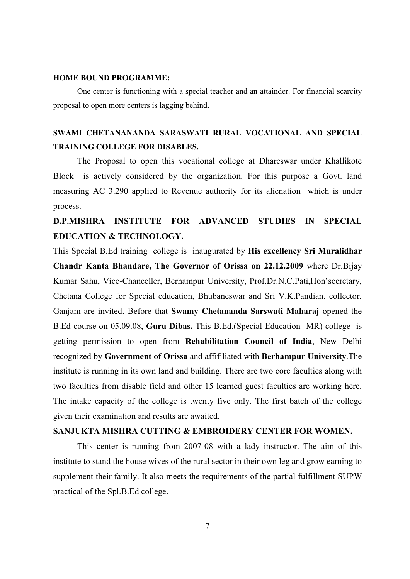#### **HOME BOUND PROGRAMME:**

 One center is functioning with a special teacher and an attainder. For financial scarcity proposal to open more centers is lagging behind.

# **SWAMI CHETANANANDA SARASWATI RURAL VOCATIONAL AND SPECIAL TRAINING COLLEGE FOR DISABLES.**

 The Proposal to open this vocational college at Dhareswar under Khallikote Block is actively considered by the organization. For this purpose a Govt. land measuring AC 3.290 applied to Revenue authority for its alienation which is under process.

# **D.P.MISHRA INSTITUTE FOR ADVANCED STUDIES IN SPECIAL EDUCATION & TECHNOLOGY.**

This Special B.Ed training college is inaugurated by **His excellency Sri Muralidhar Chandr Kanta Bhandare, The Governor of Orissa on 22.12.2009** where Dr.Bijay Kumar Sahu, Vice-Chanceller, Berhampur University, Prof.Dr.N.C.Pati,Hon'secretary, Chetana College for Special education, Bhubaneswar and Sri V.K.Pandian, collector, Ganjam are invited. Before that **Swamy Chetananda Sarswati Maharaj** opened the B.Ed course on 05.09.08, **Guru Dibas.** This B.Ed.(Special Education -MR) college is getting permission to open from **Rehabilitation Council of India**, New Delhi recognized by **Government of Orissa** and affifiliated with **Berhampur University**.The institute is running in its own land and building. There are two core faculties along with two faculties from disable field and other 15 learned guest faculties are working here. The intake capacity of the college is twenty five only. The first batch of the college given their examination and results are awaited.

## **SANJUKTA MISHRA CUTTING & EMBROIDERY CENTER FOR WOMEN.**

This center is running from 2007-08 with a lady instructor. The aim of this institute to stand the house wives of the rural sector in their own leg and grow earning to supplement their family. It also meets the requirements of the partial fulfillment SUPW practical of the Spl.B.Ed college.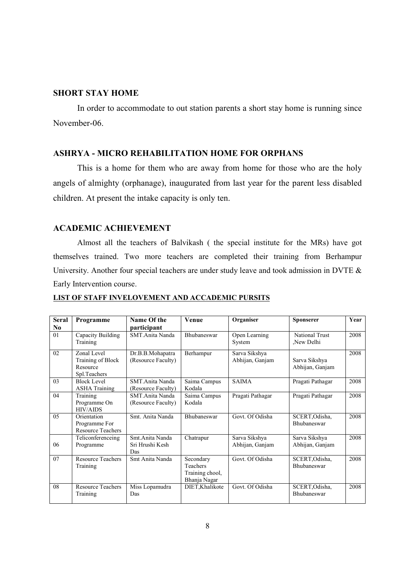## **SHORT STAY HOME**

In order to accommodate to out station parents a short stay home is running since November-06.

## **ASHRYA - MICRO REHABILITATION HOME FOR ORPHANS**

This is a home for them who are away from home for those who are the holy angels of almighty (orphanage), inaugurated from last year for the parent less disabled children. At present the intake capacity is only ten.

## **ACADEMIC ACHIEVEMENT**

 Almost all the teachers of Balvikash ( the special institute for the MRs) have got themselves trained. Two more teachers are completed their training from Berhampur University. Another four special teachers are under study leave and took admission in DVTE  $\&$ Early Intervention course.

## **LIST OF STAFF INVELOVEMENT AND ACCADEMIC PURSITS**

| <b>Seral</b> | Programme                                                    | Name Of the                               | Venue                                                    | Organiser                        | <b>Sponserer</b>                     | Year |
|--------------|--------------------------------------------------------------|-------------------------------------------|----------------------------------------------------------|----------------------------------|--------------------------------------|------|
| No.          |                                                              | participant                               |                                                          |                                  |                                      |      |
| 01           | Capacity Building<br>Training                                | SMT Anita Nanda                           | Bhubaneswar                                              | Open Learning<br>System          | <b>National Trust</b><br>New Delhi   | 2008 |
| 02           | Zonal Level<br>Training of Block<br>Resource<br>Spl.Teachers | Dr.B.B.Mohapatra<br>(Resource Faculty)    | Berhampur                                                | Sarva Sikshya<br>Abhijan, Ganjam | Sarva Sikshya<br>Abhijan, Ganjam     | 2008 |
| 03           | <b>Block Level</b><br><b>ASHA Training</b>                   | SMT.Anita Nanda<br>(Resource Faculty)     | Saima Campus<br>Kodala                                   | <b>SAIMA</b>                     | Pragati Pathagar                     | 2008 |
| 04           | Training<br>Programme On<br><b>HIV/AIDS</b>                  | SMT.Anita Nanda<br>(Resource Faculty)     | Saima Campus<br>Kodala                                   | Pragati Pathagar                 | Pragati Pathagar                     | 2008 |
| 05           | Orientation<br>Programme For<br><b>Resource Teachers</b>     | Smt. Anita Nanda                          | Bhubaneswar                                              | Govt. Of Odisha                  | SCERT, Odisha,<br>Bhubaneswar        | 2008 |
| 06           | Teliconferenceing<br>Programme                               | Smt.Anita Nanda<br>Sri Hrushi Kesh<br>Das | Chatrapur                                                | Sarva Sikshya<br>Abhijan, Ganjam | Sarva Sikshya<br>Abhijan, Ganjam     | 2008 |
| 07           | <b>Resource Teachers</b><br>Training                         | Smt Anita Nanda                           | Secondary<br>Teachers<br>Training chool,<br>Bhanja Nagar | Govt. Of Odisha                  | SCERT, Odisha,<br><b>Bhubaneswar</b> | 2008 |
| 08           | <b>Resource Teachers</b><br>Training                         | Miss Lopamudra<br>Das                     | DIET, Khalikote                                          | Govt. Of Odisha                  | SCERT, Odisha,<br><b>Bhubaneswar</b> | 2008 |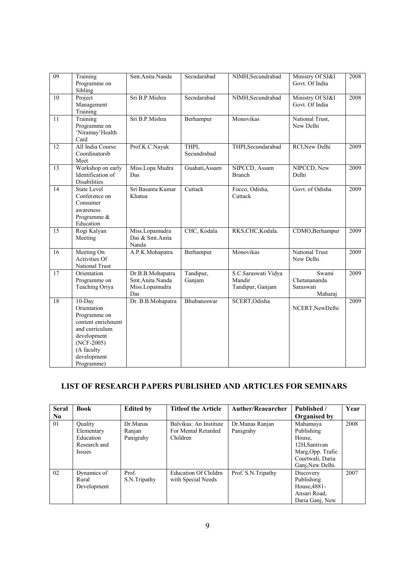| 09 | Training<br>Programme on<br>Sibling                                                                                                                        | Smt.Anita Nanda                                              | Secndarabad          | NIMH, Secundrabad                                 | Ministry Of SJ&I<br>Govt. Of India            | 2008 |
|----|------------------------------------------------------------------------------------------------------------------------------------------------------------|--------------------------------------------------------------|----------------------|---------------------------------------------------|-----------------------------------------------|------|
| 10 | Project<br>Management<br>Training                                                                                                                          | Sri B.P.Mishra                                               | Secndarabad          | NIMH, Secundrabad                                 | Ministry Of SJ&I<br>Govt. Of India            | 2008 |
| 11 | Training<br>Programme on<br>'Niramay'Health<br>Card                                                                                                        | Sri B.P.Mishra                                               | Berhampur            | Monovikas                                         | National Trust,<br>New Delhi                  |      |
| 12 | All India Course<br>Coordinatorsb<br>Meet                                                                                                                  | Prof.K.C.Nayak                                               | THPI,<br>Secundrabad | THPI, Secundarabad                                | RCI, New Delhi                                | 2009 |
| 13 | Workshop on early<br>Identification of<br>Disabilities                                                                                                     | Miss.Lopa Mudra<br>Das                                       | Guahati, Assam       | NIPCCD, Assam<br><b>Branch</b>                    | NIPCCD, New<br>Delhi                          | 2009 |
| 14 | <b>State Level</b><br>Conference on<br>Consumer<br>awareness<br>Programme &<br>Education                                                                   | Sri Basanta Kumar<br>Khatua                                  | Cuttack              | Focco, Odisha,<br>Cuttack                         | Govt. of Odisha                               | 2009 |
| 15 | Rogi Kalyan<br>Meeting                                                                                                                                     | Miss.Lopamudra<br>Das & Smt.Anita<br>Nanda                   | CHC, Kodala          | RKS,CHC,Kodala.                                   | CDMO, Berhampur                               | 2009 |
| 16 | Meeting On<br><b>Activities Of</b><br>National Trust                                                                                                       | A.P.K.Mohapatra                                              | Berhampur            | Monovikas                                         | <b>National Trust</b><br>New Delhi            | 2009 |
| 17 | Orientation<br>Programme on<br>Teaching Oriya                                                                                                              | Dr.B.B.Mohapatra<br>Smt.Anita Nanda<br>Miss.Lopamudra<br>Das | Tandipur,<br>Ganjam  | S.C.Saraswati Vidya<br>Mandir<br>Tandipur, Ganjam | Swami<br>Chetanananda<br>Saraswati<br>Maharaj | 2009 |
| 18 | $10$ -Day<br>Orientation<br>Programme on<br>content enrichment<br>and curriculum<br>development<br>$(NCF-2005)$<br>(A faculty<br>development<br>Programme) | Dr. B.B.Mohapatra                                            | Bhubaneswar          | SCERT, Odisha                                     | NCERT, New Delhi                              | 2009 |

# **LIST OF RESEARCH PAPERS PUBLISHED AND ARTICLES FOR SEMINARS**

| <b>Seral</b>   | <b>Book</b>    | <b>Edited by</b> | <b>Titleof the Article</b>  | <b>Auther/Reaearcher</b> | Published /       | Year |
|----------------|----------------|------------------|-----------------------------|--------------------------|-------------------|------|
| N <sub>0</sub> |                |                  |                             |                          | Organised by      |      |
| 01             | <b>Ouality</b> | Dr.Manas         | Balvikas: An Institute      | Dr. Manas Ranjan         | Mahamaya          | 2008 |
|                | Elementary     | Ranjan           | For Mental Retarded         | Panigrahy                | Publishing        |      |
|                | Education      | Panigrahy        | Children                    |                          | House,            |      |
|                | Research and   |                  |                             |                          | 12H, Santivan     |      |
|                | <i>Issues</i>  |                  |                             |                          | Marg, Opp. Trafic |      |
|                |                |                  |                             |                          | Courtwali, Daria  |      |
|                |                |                  |                             |                          | Ganj, New Delhi.  |      |
| 02             | Dynamics of    | Prof.            | <b>Education Of Childrn</b> | Prof. S.N.Tripathy       | Discovery         | 2007 |
|                | Rural          | S.N.Tripathy     | with Special Needs          |                          | Publishing        |      |
|                | Development    |                  |                             |                          | House, 4881-      |      |
|                |                |                  |                             |                          | Ansari Road,      |      |
|                |                |                  |                             |                          | Daria Ganj, New   |      |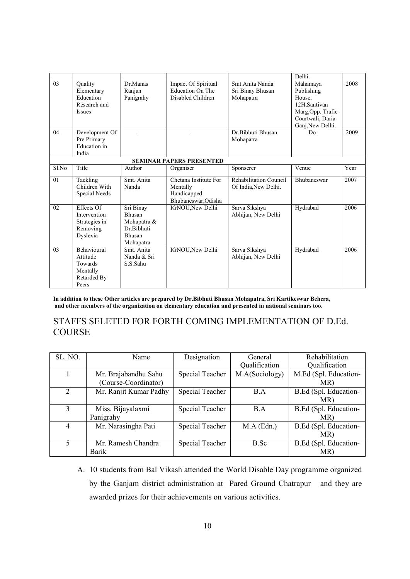|                                 |                     |             |                       |                        | Delhi.             |      |  |  |  |  |
|---------------------------------|---------------------|-------------|-----------------------|------------------------|--------------------|------|--|--|--|--|
| 03                              | Quality             | Dr.Manas    | Impact Of Spiritual   | Smt. Anita Nanda       | Mahamaya           | 2008 |  |  |  |  |
|                                 | Elementary          | Ranjan      | Education On The      | Sri Binay Bhusan       | Publishing         |      |  |  |  |  |
|                                 | Education           | Panigrahy   | Disabled Children     | Mohapatra              | House,             |      |  |  |  |  |
|                                 | Research and        |             |                       |                        | 12H, Santivan      |      |  |  |  |  |
|                                 | Issues              |             |                       |                        | Marg, Opp. Trafic  |      |  |  |  |  |
|                                 |                     |             |                       |                        | Courtwali, Daria   |      |  |  |  |  |
|                                 |                     |             |                       |                        | Ganj, New Delhi.   |      |  |  |  |  |
| 04                              | Development Of      |             |                       | Dr. Bibhuti Bhusan     | D <sub>0</sub>     | 2009 |  |  |  |  |
|                                 | Pre Primary         |             |                       | Mohapatra              |                    |      |  |  |  |  |
|                                 | <b>Education</b> in |             |                       |                        |                    |      |  |  |  |  |
|                                 | India               |             |                       |                        |                    |      |  |  |  |  |
| <b>SEMINAR PAPERS PRESENTED</b> |                     |             |                       |                        |                    |      |  |  |  |  |
| Sl.No                           | Title               | Author      | Organiser             | Sponserer              | Venue              | Year |  |  |  |  |
| 01                              | Tackling            | Smt. Anita  | Chetana Institute For | Rehabilitation Council | <b>Bhubaneswar</b> | 2007 |  |  |  |  |
|                                 | Children With       | Nanda       | Mentally              | Of India, New Delhi.   |                    |      |  |  |  |  |
|                                 | Special Needs       |             | Handicapped           |                        |                    |      |  |  |  |  |
|                                 |                     |             | Bhubaneswar, Odisha   |                        |                    |      |  |  |  |  |
| 02                              | Effects Of          | Sri Binay   | IGNOU, New Delhi      | Sarva Sikshya          | Hydrabad           | 2006 |  |  |  |  |
|                                 | Intervention        | Bhusan      |                       | Abhijan, New Delhi     |                    |      |  |  |  |  |
|                                 | Strategies in       | Mohapatra & |                       |                        |                    |      |  |  |  |  |
|                                 | Removing            | Dr Bibhuti  |                       |                        |                    |      |  |  |  |  |
|                                 | Dyslexia            | Bhusan      |                       |                        |                    |      |  |  |  |  |
|                                 |                     | Mohapatra   |                       |                        |                    |      |  |  |  |  |
| 03                              | <b>Behavioural</b>  | Smt. Anita  | IGNOU, New Delhi      | Sarva Sikshya          | Hydrabad           | 2006 |  |  |  |  |
|                                 | Attitude            | Nanda & Sri |                       | Abhijan, New Delhi     |                    |      |  |  |  |  |
|                                 | Towards             | S.S.Sahu    |                       |                        |                    |      |  |  |  |  |
|                                 | Mentally            |             |                       |                        |                    |      |  |  |  |  |
|                                 | Retarded By         |             |                       |                        |                    |      |  |  |  |  |
|                                 | Peers               |             |                       |                        |                    |      |  |  |  |  |

**In addition to these Other articles are prepared by Dr.Bibhuti Bhusan Mohapatra, Sri Kartikeswar Behera, and other members of the organization on elementary education and presented in national seminars too.**

## STAFFS SELETED FOR FORTH COMING IMPLEMENTATION OF D.Ed. **COURSE**

| SL. NO.        | Name                   | Designation     | General        | Rehabilitation        |
|----------------|------------------------|-----------------|----------------|-----------------------|
|                |                        |                 | Qualification  | Qualification         |
|                | Mr. Brajabandhu Sahu   | Special Teacher | M.A(Sociology) | M.Ed (Spl. Education- |
|                | (Course-Coordinator)   |                 |                | MR)                   |
| $\overline{2}$ | Mr. Ranjit Kumar Padhy | Special Teacher | B.A            | B.Ed (Spl. Education- |
|                |                        |                 |                | MR)                   |
| 3              | Miss. Bijayalaxmi      | Special Teacher | B.A            | B.Ed (Spl. Education- |
|                | Panigrahy              |                 |                | MR)                   |
| 4              | Mr. Narasingha Pati    | Special Teacher | $M.A$ (Edn.)   | B.Ed (Spl. Education- |
|                |                        |                 |                | MR)                   |
| 5              | Mr. Ramesh Chandra     | Special Teacher | B.Sc           | B.Ed (Spl. Education- |
|                | <b>Barik</b>           |                 |                | MR)                   |

A. 10 students from Bal Vikash attended the World Disable Day programme organized by the Ganjam district administration at Pared Ground Chatrapur and they are awarded prizes for their achievements on various activities.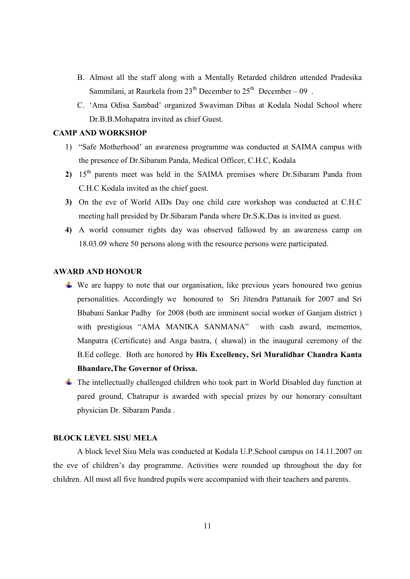- B. Almost all the staff along with a Mentally Retarded children attended Pradesika Sammilani, at Raurkela from  $23<sup>th</sup>$  December to  $25<sup>th</sup>$  December – 09.
- C. 'Ama Odisa Sambad' organized Swaviman Dibas at Kodala Nodal School where Dr.B.B.Mohapatra invited as chief Guest.

## **CAMP AND WORKSHOP**

- 1) "Safe Motherhood' an awareness programme was conducted at SAIMA campus with the presence of Dr.Sibaram Panda, Medical Officer, C.H.C, Kodala
- 2) 15<sup>th</sup> parents meet was held in the SAIMA premises where Dr.Sibaram Panda from C.H.C Kodala invited as the chief guest.
- **3)** On the eve of World AIDs Day one child care workshop was conducted at C.H.C meeting hall presided by Dr.Sibaram Panda where Dr.S.K.Das is invited as guest.
- **4)** A world consumer rights day was observed fallowed by an awareness camp on 18.03.09 where 50 persons along with the resource persons were participated.

## **AWARD AND HONOUR**

- $\overline{\phantom{a}}$  We are happy to note that our organisation, like previous years honoured two genius personalities. Accordingly we honoured to Sri Jitendra Pattanaik for 2007 and Sri Bhabani Sankar Padhy for 2008 (both are imminent social worker of Ganjam district ) with prestigious "AMA MANIKA SANMANA" with cash award, mementos, Manpatra (Certificate) and Anga bastra, ( shawal) in the inaugural ceremony of the B.Ed college. Both are honored by **His Excellency, Sri Muralidhar Chandra Kanta Bhandare,The Governor of Orissa.**
- $\ddot{\phantom{1}}$  The intellectually challenged children who took part in World Disabled day function at pared ground, Chatrapur is awarded with special prizes by our honorary consultant physician Dr. Sibaram Panda .

#### **BLOCK LEVEL SISU MELA**

 A block level Sisu Mela was conducted at Kodala U.P.School campus on 14.11.2007 on the eve of children's day programme. Activities were rounded up throughout the day for children. All most all five hundred pupils were accompanied with their teachers and parents.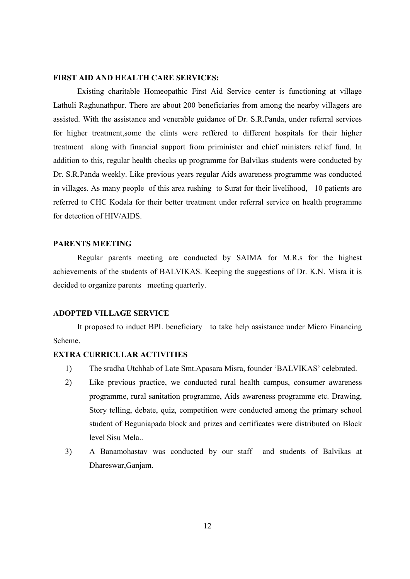### **FIRST AID AND HEALTH CARE SERVICES:**

Existing charitable Homeopathic First Aid Service center is functioning at village Lathuli Raghunathpur. There are about 200 beneficiaries from among the nearby villagers are assisted. With the assistance and venerable guidance of Dr. S.R.Panda, under referral services for higher treatment,some the clints were reffered to different hospitals for their higher treatment along with financial support from priminister and chief ministers relief fund. In addition to this, regular health checks up programme for Balvikas students were conducted by Dr. S.R.Panda weekly. Like previous years regular Aids awareness programme was conducted in villages. As many people of this area rushing to Surat for their livelihood, 10 patients are referred to CHC Kodala for their better treatment under referral service on health programme for detection of HIV/AIDS.

## **PARENTS MEETING**

 Regular parents meeting are conducted by SAIMA for M.R.s for the highest achievements of the students of BALVIKAS. Keeping the suggestions of Dr. K.N. Misra it is decided to organize parents meeting quarterly.

## **ADOPTED VILLAGE SERVICE**

 It proposed to induct BPL beneficiary to take help assistance under Micro Financing Scheme.

### **EXTRA CURRICULAR ACTIVITIES**

- 1) The sradha Utchhab of Late Smt.Apasara Misra, founder 'BALVIKAS' celebrated.
- 2) Like previous practice, we conducted rural health campus, consumer awareness programme, rural sanitation programme, Aids awareness programme etc. Drawing, Story telling, debate, quiz, competition were conducted among the primary school student of Beguniapada block and prizes and certificates were distributed on Block level Sisu Mela..
- 3) A Banamohastav was conducted by our staff and students of Balvikas at Dhareswar,Ganjam.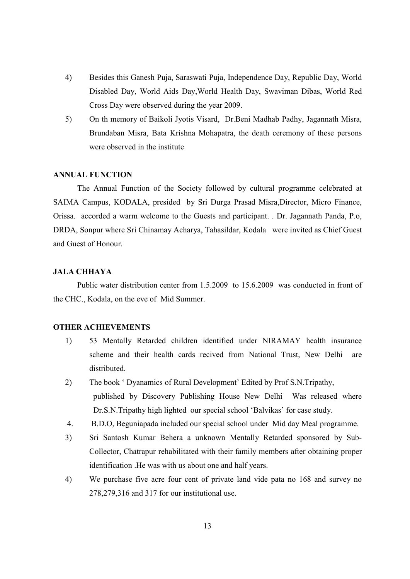- 4) Besides this Ganesh Puja, Saraswati Puja, Independence Day, Republic Day, World Disabled Day, World Aids Day,World Health Day, Swaviman Dibas, World Red Cross Day were observed during the year 2009.
- 5) On th memory of Baikoli Jyotis Visard, Dr.Beni Madhab Padhy, Jagannath Misra, Brundaban Misra, Bata Krishna Mohapatra, the death ceremony of these persons were observed in the institute

## **ANNUAL FUNCTION**

 The Annual Function of the Society followed by cultural programme celebrated at SAIMA Campus, KODALA, presided by Sri Durga Prasad Misra,Director, Micro Finance, Orissa. accorded a warm welcome to the Guests and participant. . Dr. Jagannath Panda, P.o, DRDA, Sonpur where Sri Chinamay Acharya, Tahasildar, Kodala were invited as Chief Guest and Guest of Honour.

### **JALA CHHAYA**

 Public water distribution center from 1.5.2009 to 15.6.2009 was conducted in front of the CHC., Kodala, on the eve of Mid Summer.

#### **OTHER ACHIEVEMENTS**

- 1) 53 Mentally Retarded children identified under NIRAMAY health insurance scheme and their health cards recived from National Trust, New Delhi are distributed.
- 2) The book ' Dyanamics of Rural Development' Edited by Prof S.N.Tripathy, published by Discovery Publishing House New Delhi Was released where Dr.S.N.Tripathy high lighted our special school 'Balvikas' for case study.
- 4. B.D.O, Beguniapada included our special school under Mid day Meal programme.
- 3) Sri Santosh Kumar Behera a unknown Mentally Retarded sponsored by Sub-Collector, Chatrapur rehabilitated with their family members after obtaining proper identification .He was with us about one and half years.
- 4) We purchase five acre four cent of private land vide pata no 168 and survey no 278,279,316 and 317 for our institutional use.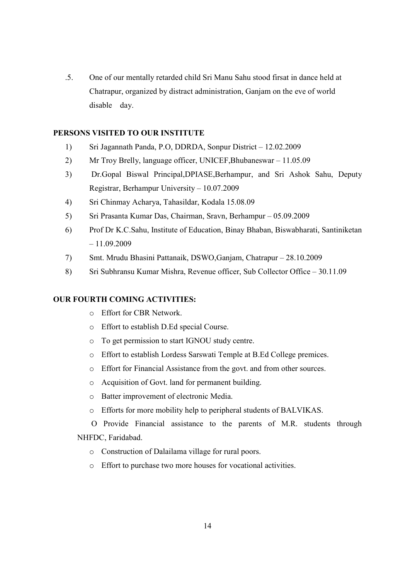.5. One of our mentally retarded child Sri Manu Sahu stood firsat in dance held at Chatrapur, organized by distract administration, Ganjam on the eve of world disable day.

## **PERSONS VISITED TO OUR INSTITUTE**

- 1) Sri Jagannath Panda, P.O, DDRDA, Sonpur District 12.02.2009
- 2) Mr Troy Brelly, language officer, UNICEF,Bhubaneswar 11.05.09
- 3) Dr.Gopal Biswal Principal,DPIASE,Berhampur, and Sri Ashok Sahu, Deputy Registrar, Berhampur University – 10.07.2009
- 4) Sri Chinmay Acharya, Tahasildar, Kodala 15.08.09
- 5) Sri Prasanta Kumar Das, Chairman, Sravn, Berhampur 05.09.2009
- 6) Prof Dr K.C.Sahu, Institute of Education, Binay Bhaban, Biswabharati, Santiniketan – 11.09.2009
- 7) Smt. Mrudu Bhasini Pattanaik, DSWO,Ganjam, Chatrapur 28.10.2009
- 8) Sri Subhransu Kumar Mishra, Revenue officer, Sub Collector Office 30.11.09

## **OUR FOURTH COMING ACTIVITIES:**

- o Effort for CBR Network.
- o Effort to establish D.Ed special Course.
- o To get permission to start IGNOU study centre.
- o Effort to establish Lordess Sarswati Temple at B.Ed College premices.
- o Effort for Financial Assistance from the govt. and from other sources.
- o Acquisition of Govt. land for permanent building.
- o Batter improvement of electronic Media.
- o Efforts for more mobility help to peripheral students of BALVIKAS.

O Provide Financial assistance to the parents of M.R. students through NHFDC, Faridabad.

- o Construction of Dalailama village for rural poors.
- o Effort to purchase two more houses for vocational activities.